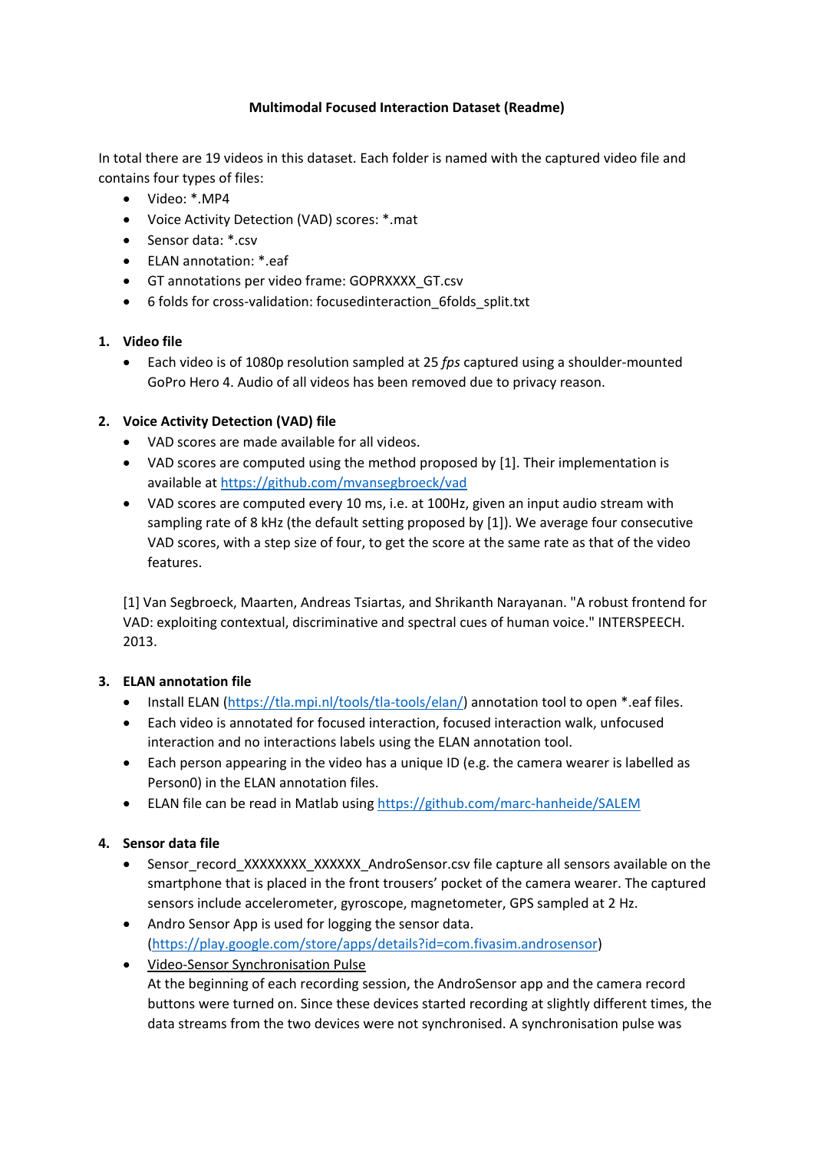# **Multimodal Focused Interaction Dataset (Readme)**

In total there are 19 videos in this dataset. Each folder is named with the captured video file and contains four types of files:

- Video: \*.MP4
- Voice Activity Detection (VAD) scores: \*.mat
- Sensor data: \*.csv
- ELAN annotation: \*.eaf
- GT annotations per video frame: GOPRXXXX\_GT.csv
- 6 folds for cross-validation: focusedinteraction\_6folds\_split.txt

## **1. Video file**

• Each video is of 1080p resolution sampled at 25 *fps* captured using a shoulder-mounted GoPro Hero 4. Audio of all videos has been removed due to privacy reason.

## **2. Voice Activity Detection (VAD) file**

- VAD scores are made available for all videos.
- VAD scores are computed using the method proposed by [1]. Their implementation is available at<https://github.com/mvansegbroeck/vad>
- VAD scores are computed every 10 ms, i.e. at 100Hz, given an input audio stream with sampling rate of 8 kHz (the default setting proposed by [1]). We average four consecutive VAD scores, with a step size of four, to get the score at the same rate as that of the video features.

[1] Van Segbroeck, Maarten, Andreas Tsiartas, and Shrikanth Narayanan. "A robust frontend for VAD: exploiting contextual, discriminative and spectral cues of human voice." INTERSPEECH. 2013.

# **3. ELAN annotation file**

- Install ELAN [\(https://tla.mpi.nl/tools/tla-tools/elan/\)](https://tla.mpi.nl/tools/tla-tools/elan/) annotation tool to open \*.eaf files.
- Each video is annotated for focused interaction, focused interaction walk, unfocused interaction and no interactions labels using the ELAN annotation tool.
- Each person appearing in the video has a unique ID (e.g. the camera wearer is labelled as Person0) in the ELAN annotation files.
- ELAN file can be read in Matlab using<https://github.com/marc-hanheide/SALEM>

# **4. Sensor data file**

- Sensor\_record\_XXXXXXXX\_XXXXXX\_AndroSensor.csv file capture all sensors available on the smartphone that is placed in the front trousers' pocket of the camera wearer. The captured sensors include accelerometer, gyroscope, magnetometer, GPS sampled at 2 Hz.
- Andro Sensor App is used for logging the sensor data. [\(https://play.google.com/store/apps/details?id=com.fivasim.androsensor\)](https://play.google.com/store/apps/details?id=com.fivasim.androsensor)
- Video-Sensor Synchronisation Pulse At the beginning of each recording session, the AndroSensor app and the camera record buttons were turned on. Since these devices started recording at slightly different times, the data streams from the two devices were not synchronised. A synchronisation pulse was